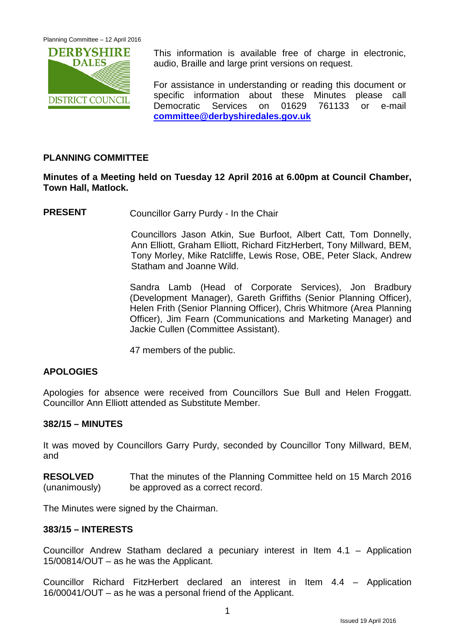

This information is available free of charge in electronic, audio, Braille and large print versions on request.

For assistance in understanding or reading this document or specific information about these Minutes please call Democratic Services on 01629 761133 or e-mail **[committee@derbyshiredales.gov.uk](mailto:committee@derbyshiredales.gov.uk)**

# **PLANNING COMMITTEE**

# **Minutes of a Meeting held on Tuesday 12 April 2016 at 6.00pm at Council Chamber, Town Hall, Matlock.**

**PRESENT** Councillor Garry Purdy - In the Chair

Councillors Jason Atkin, Sue Burfoot, Albert Catt, Tom Donnelly, Ann Elliott, Graham Elliott, Richard FitzHerbert, Tony Millward, BEM, Tony Morley, Mike Ratcliffe, Lewis Rose, OBE, Peter Slack, Andrew Statham and Joanne Wild.

Sandra Lamb (Head of Corporate Services), Jon Bradbury (Development Manager), Gareth Griffiths (Senior Planning Officer), Helen Frith (Senior Planning Officer), Chris Whitmore (Area Planning Officer), Jim Fearn (Communications and Marketing Manager) and Jackie Cullen (Committee Assistant).

47 members of the public.

### **APOLOGIES**

Apologies for absence were received from Councillors Sue Bull and Helen Froggatt. Councillor Ann Elliott attended as Substitute Member.

### **382/15 – MINUTES**

It was moved by Councillors Garry Purdy, seconded by Councillor Tony Millward, BEM, and

**RESOLVED** (unanimously) That the minutes of the Planning Committee held on 15 March 2016 be approved as a correct record.

The Minutes were signed by the Chairman.

#### **383/15 – INTERESTS**

Councillor Andrew Statham declared a pecuniary interest in Item 4.1 – Application 15/00814/OUT – as he was the Applicant.

Councillor Richard FitzHerbert declared an interest in Item 4.4 – Application 16/00041/OUT – as he was a personal friend of the Applicant.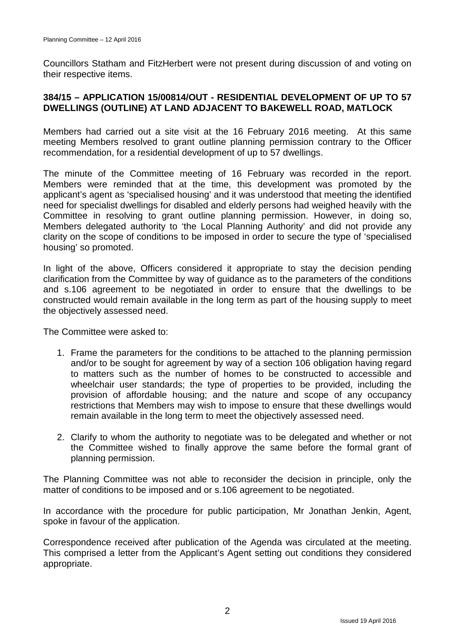Councillors Statham and FitzHerbert were not present during discussion of and voting on their respective items.

## **384/15 – APPLICATION 15/00814/OUT - RESIDENTIAL DEVELOPMENT OF UP TO 57 DWELLINGS (OUTLINE) AT LAND ADJACENT TO BAKEWELL ROAD, MATLOCK**

Members had carried out a site visit at the 16 February 2016 meeting. At this same meeting Members resolved to grant outline planning permission contrary to the Officer recommendation, for a residential development of up to 57 dwellings.

The minute of the Committee meeting of 16 February was recorded in the report. Members were reminded that at the time, this development was promoted by the applicant's agent as 'specialised housing' and it was understood that meeting the identified need for specialist dwellings for disabled and elderly persons had weighed heavily with the Committee in resolving to grant outline planning permission. However, in doing so, Members delegated authority to 'the Local Planning Authority' and did not provide any clarity on the scope of conditions to be imposed in order to secure the type of 'specialised housing' so promoted.

In light of the above, Officers considered it appropriate to stay the decision pending clarification from the Committee by way of guidance as to the parameters of the conditions and s.106 agreement to be negotiated in order to ensure that the dwellings to be constructed would remain available in the long term as part of the housing supply to meet the objectively assessed need.

The Committee were asked to:

- 1. Frame the parameters for the conditions to be attached to the planning permission and/or to be sought for agreement by way of a section 106 obligation having regard to matters such as the number of homes to be constructed to accessible and wheelchair user standards; the type of properties to be provided, including the provision of affordable housing; and the nature and scope of any occupancy restrictions that Members may wish to impose to ensure that these dwellings would remain available in the long term to meet the objectively assessed need.
- 2. Clarify to whom the authority to negotiate was to be delegated and whether or not the Committee wished to finally approve the same before the formal grant of planning permission.

The Planning Committee was not able to reconsider the decision in principle, only the matter of conditions to be imposed and or s.106 agreement to be negotiated.

In accordance with the procedure for public participation, Mr Jonathan Jenkin, Agent, spoke in favour of the application.

Correspondence received after publication of the Agenda was circulated at the meeting. This comprised a letter from the Applicant's Agent setting out conditions they considered appropriate.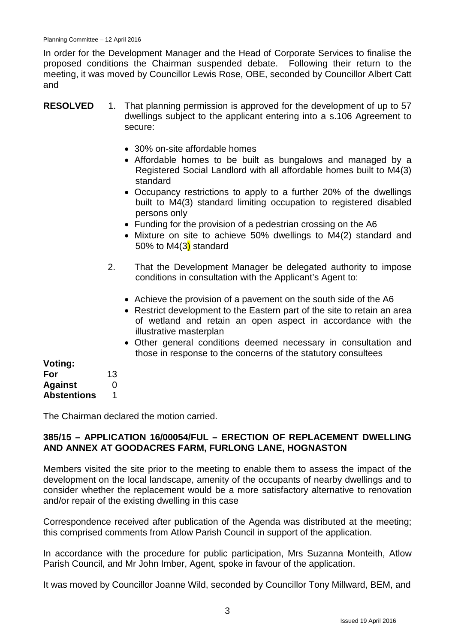In order for the Development Manager and the Head of Corporate Services to finalise the proposed conditions the Chairman suspended debate. Following their return to the meeting, it was moved by Councillor Lewis Rose, OBE, seconded by Councillor Albert Catt and

| <b>RESOLVED</b> | 1. That planning permission is approved for the development of up to 57 |
|-----------------|-------------------------------------------------------------------------|
|                 | dwellings subject to the applicant entering into a s.106 Agreement to   |
|                 | secure:                                                                 |

- 30% on-site affordable homes
- Affordable homes to be built as bungalows and managed by a Registered Social Landlord with all affordable homes built to M4(3) standard
- Occupancy restrictions to apply to a further 20% of the dwellings built to M4(3) standard limiting occupation to registered disabled persons only
- Funding for the provision of a pedestrian crossing on the A6
- Mixture on site to achieve 50% dwellings to M4(2) standard and 50% to  $M4(3)$  standard
- 2. That the Development Manager be delegated authority to impose conditions in consultation with the Applicant's Agent to:
	- Achieve the provision of a pavement on the south side of the A6
	- Restrict development to the Eastern part of the site to retain an area of wetland and retain an open aspect in accordance with the illustrative masterplan
	- Other general conditions deemed necessary in consultation and those in response to the concerns of the statutory consultees

| Voting:            |    |
|--------------------|----|
| For                | 13 |
| <b>Against</b>     | O  |
| <b>Abstentions</b> | 1  |

The Chairman declared the motion carried.

#### **385/15 – APPLICATION 16/00054/FUL – ERECTION OF REPLACEMENT DWELLING AND ANNEX AT GOODACRES FARM, FURLONG LANE, HOGNASTON**

Members visited the site prior to the meeting to enable them to assess the impact of the development on the local landscape, amenity of the occupants of nearby dwellings and to consider whether the replacement would be a more satisfactory alternative to renovation and/or repair of the existing dwelling in this case

Correspondence received after publication of the Agenda was distributed at the meeting; this comprised comments from Atlow Parish Council in support of the application.

In accordance with the procedure for public participation, Mrs Suzanna Monteith, Atlow Parish Council, and Mr John Imber, Agent, spoke in favour of the application.

It was moved by Councillor Joanne Wild, seconded by Councillor Tony Millward, BEM, and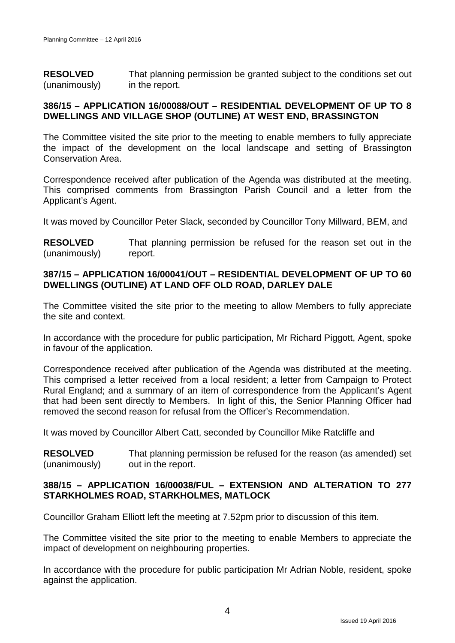**RESOLVED** (unanimously) That planning permission be granted subject to the conditions set out in the report.

### **386/15 – APPLICATION 16/00088/OUT – RESIDENTIAL DEVELOPMENT OF UP TO 8 DWELLINGS AND VILLAGE SHOP (OUTLINE) AT WEST END, BRASSINGTON**

The Committee visited the site prior to the meeting to enable members to fully appreciate the impact of the development on the local landscape and setting of Brassington Conservation Area.

Correspondence received after publication of the Agenda was distributed at the meeting. This comprised comments from Brassington Parish Council and a letter from the Applicant's Agent.

It was moved by Councillor Peter Slack, seconded by Councillor Tony Millward, BEM, and

**RESOLVED** (unanimously) That planning permission be refused for the reason set out in the report.

# **387/15 – APPLICATION 16/00041/OUT – RESIDENTIAL DEVELOPMENT OF UP TO 60 DWELLINGS (OUTLINE) AT LAND OFF OLD ROAD, DARLEY DALE**

The Committee visited the site prior to the meeting to allow Members to fully appreciate the site and context.

In accordance with the procedure for public participation, Mr Richard Piggott, Agent, spoke in favour of the application.

Correspondence received after publication of the Agenda was distributed at the meeting. This comprised a letter received from a local resident; a letter from Campaign to Protect Rural England; and a summary of an item of correspondence from the Applicant's Agent that had been sent directly to Members. In light of this, the Senior Planning Officer had removed the second reason for refusal from the Officer's Recommendation.

It was moved by Councillor Albert Catt, seconded by Councillor Mike Ratcliffe and

**RESOLVED** (unanimously) That planning permission be refused for the reason (as amended) set out in the report.

### **388/15 – APPLICATION 16/00038/FUL – EXTENSION AND ALTERATION TO 277 STARKHOLMES ROAD, STARKHOLMES, MATLOCK**

Councillor Graham Elliott left the meeting at 7.52pm prior to discussion of this item.

The Committee visited the site prior to the meeting to enable Members to appreciate the impact of development on neighbouring properties.

In accordance with the procedure for public participation Mr Adrian Noble, resident, spoke against the application.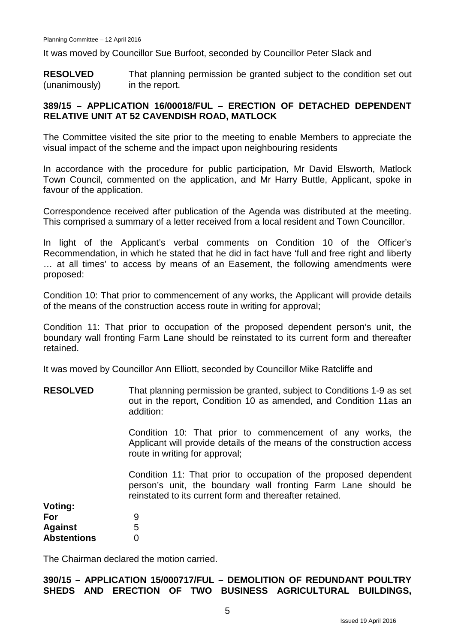It was moved by Councillor Sue Burfoot, seconded by Councillor Peter Slack and

**RESOLVED** (unanimously) That planning permission be granted subject to the condition set out in the report.

### **389/15 – APPLICATION 16/00018/FUL – ERECTION OF DETACHED DEPENDENT RELATIVE UNIT AT 52 CAVENDISH ROAD, MATLOCK**

The Committee visited the site prior to the meeting to enable Members to appreciate the visual impact of the scheme and the impact upon neighbouring residents

In accordance with the procedure for public participation, Mr David Elsworth, Matlock Town Council, commented on the application, and Mr Harry Buttle, Applicant, spoke in favour of the application.

Correspondence received after publication of the Agenda was distributed at the meeting. This comprised a summary of a letter received from a local resident and Town Councillor.

In light of the Applicant's verbal comments on Condition 10 of the Officer's Recommendation, in which he stated that he did in fact have 'full and free right and liberty … at all times' to access by means of an Easement, the following amendments were proposed:

Condition 10: That prior to commencement of any works, the Applicant will provide details of the means of the construction access route in writing for approval;

Condition 11: That prior to occupation of the proposed dependent person's unit, the boundary wall fronting Farm Lane should be reinstated to its current form and thereafter retained.

It was moved by Councillor Ann Elliott, seconded by Councillor Mike Ratcliffe and

**RESOLVED** That planning permission be granted, subject to Conditions 1-9 as set out in the report, Condition 10 as amended, and Condition 11as an addition:

> Condition 10: That prior to commencement of any works, the Applicant will provide details of the means of the construction access route in writing for approval;

> Condition 11: That prior to occupation of the proposed dependent person's unit, the boundary wall fronting Farm Lane should be reinstated to its current form and thereafter retained.

| Voting:            |   |
|--------------------|---|
| For                | 9 |
| <b>Against</b>     | 5 |
| <b>Abstentions</b> | O |

The Chairman declared the motion carried.

#### **390/15 – APPLICATION 15/000717/FUL – DEMOLITION OF REDUNDANT POULTRY SHEDS AND ERECTION OF TWO BUSINESS AGRICULTURAL BUILDINGS,**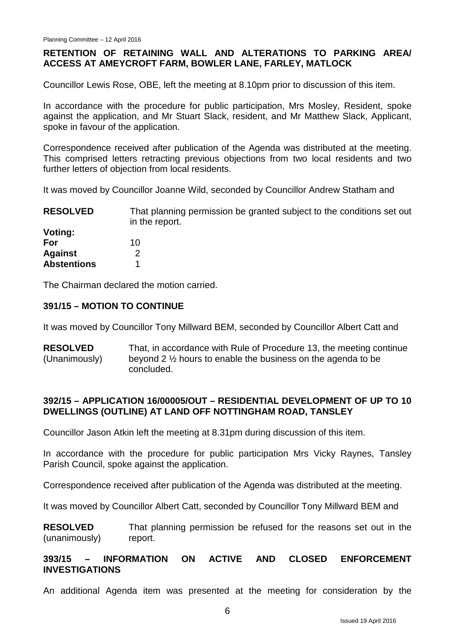# **RETENTION OF RETAINING WALL AND ALTERATIONS TO PARKING AREA/ ACCESS AT AMEYCROFT FARM, BOWLER LANE, FARLEY, MATLOCK**

Councillor Lewis Rose, OBE, left the meeting at 8.10pm prior to discussion of this item.

In accordance with the procedure for public participation, Mrs Mosley, Resident, spoke against the application, and Mr Stuart Slack, resident, and Mr Matthew Slack, Applicant, spoke in favour of the application.

Correspondence received after publication of the Agenda was distributed at the meeting. This comprised letters retracting previous objections from two local residents and two further letters of objection from local residents.

It was moved by Councillor Joanne Wild, seconded by Councillor Andrew Statham and

**RESOLVED Voting: For Against Abstentions** That planning permission be granted subject to the conditions set out in the report. 10  $\mathfrak{D}$ 1

The Chairman declared the motion carried.

### **391/15 – MOTION TO CONTINUE**

It was moved by Councillor Tony Millward BEM, seconded by Councillor Albert Catt and

**RESOLVED** (Unanimously) That, in accordance with Rule of Procedure 13, the meeting continue beyond 2 ½ hours to enable the business on the agenda to be concluded.

#### **392/15 – APPLICATION 16/00005/OUT – RESIDENTIAL DEVELOPMENT OF UP TO 10 DWELLINGS (OUTLINE) AT LAND OFF NOTTINGHAM ROAD, TANSLEY**

Councillor Jason Atkin left the meeting at 8.31pm during discussion of this item.

In accordance with the procedure for public participation Mrs Vicky Raynes, Tansley Parish Council, spoke against the application.

Correspondence received after publication of the Agenda was distributed at the meeting.

It was moved by Councillor Albert Catt, seconded by Councillor Tony Millward BEM and

**RESOLVED** (unanimously) That planning permission be refused for the reasons set out in the report.

### **393/15 – INFORMATION ON ACTIVE AND CLOSED ENFORCEMENT INVESTIGATIONS**

An additional Agenda item was presented at the meeting for consideration by the